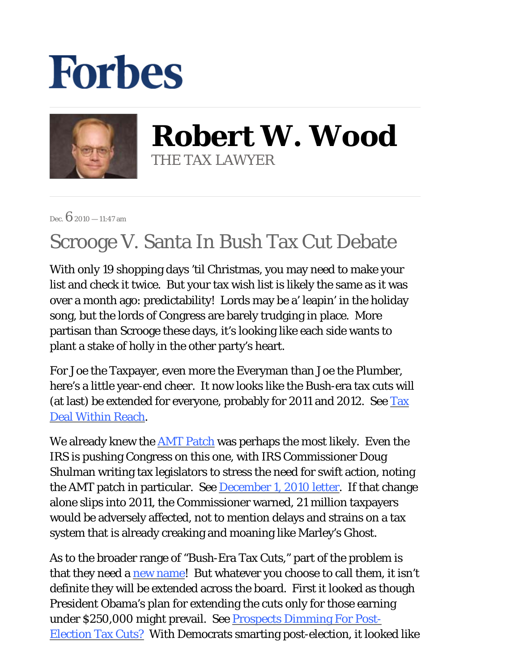## **Forbes**



**Robert W. Wood** THE TAX LAWYER

Dec.  $62010 - 11:47$  am

## Scrooge V. Santa In Bush Tax Cut Debate

With only 19 shopping days 'til Christmas, you may need to make your list and check it twice. But your tax wish list is likely the same as it was over a month ago: predictability! Lords may be a' leapin' in the holiday song, but the lords of Congress are barely trudging in place. More partisan than Scrooge these days, it's looking like each side wants to plant a stake of holly in the other party's heart.

For Joe the Taxpayer, even more the Everyman than Joe the Plumber, here's a little year-end cheer. It now looks like the Bush-era tax cuts will (at last) be extended for everyone, probably for 2011 and 2012. See  $\frac{Ta}{x}$ [Deal Within Reach.](http://online.wsj.com/article/SB10001424052748703814404576001501389257040.html)

We already knew the **AMT Patch** was perhaps the most likely. Even the IRS is pushing Congress on this one, with IRS Commissioner Doug Shulman writing tax legislators to stress the need for swift action, noting the AMT patch in particular. See [December 1, 2010 letter.](http://dontmesswithtaxes.typepad.com/Shulman%20letter%20to%20tax%20writers%20120110.pdf) If that change alone slips into 2011, the Commissioner warned, 21 million taxpayers would be adversely affected, not to mention delays and strains on a tax system that is already creaking and moaning like Marley's Ghost.

As to the broader range of "Bush-Era Tax Cuts," part of the problem is that they need a [new name!](http://blogs.forbes.com/robertwood/2010/11/24/bush-tax-cuts-better-by-another-name/) But whatever you choose to call them, it isn't definite they will be extended across the board. First it looked as though President Obama's plan for extending the cuts only for those earning under \$250,000 might prevail. See [Prospects Dimming For Post-](http://blogs.forbes.com/robertwood/2010/11/03/prospects-dimming-for-post-election-tax-cuts/)[Election Tax Cuts?](http://blogs.forbes.com/robertwood/2010/11/03/prospects-dimming-for-post-election-tax-cuts/) With Democrats smarting post-election, it looked like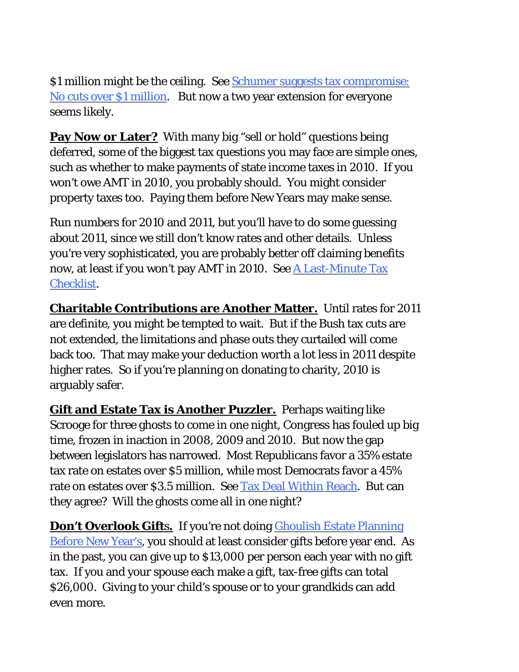\$1 million might be the ceiling. See [Schumer suggests tax compromise:](http://thehill.com/blogs/blog-briefing-room/news/129063-schumer-suggest-tax-compromise-no-cuts-over-1-million) [No cuts over \\$1 million](http://thehill.com/blogs/blog-briefing-room/news/129063-schumer-suggest-tax-compromise-no-cuts-over-1-million). But now a two year extension for everyone seems likely.

**Pay Now or Later?** With many big "sell or hold" questions being deferred, some of the biggest tax questions you may face are simple ones, such as whether to make payments of state income taxes in 2010. If you won't owe AMT in 2010, you probably should. You might consider property taxes too. Paying them before New Years may make sense.

Run numbers for 2010 and 2011, but you'll have to do some guessing about 2011, since we still don't know rates and other details. Unless you're very sophisticated, you are probably better off claiming benefits now, at least if you won't pay AMT in 2010. See [A Last-Minute Tax](http://online.wsj.com/article/SB10001424052748704377004575651310131827230.html) [Checklist](http://online.wsj.com/article/SB10001424052748704377004575651310131827230.html).

**Charitable Contributions are Another Matter.** Until rates for 2011 are definite, you might be tempted to wait. But if the Bush tax cuts are not extended, the limitations and phase outs they curtailed will come back too. That may make your deduction worth a lot less in 2011 despite higher rates. So if you're planning on donating to charity, 2010 is arguably safer.

**Gift and Estate Tax is Another Puzzler.** Perhaps waiting like Scrooge for three ghosts to come in one night, Congress has fouled up big time, frozen in inaction in 2008, 2009 and 2010. But now the gap between legislators has narrowed. Most Republicans favor a 35% estate tax rate on estates over \$5 million, while most Democrats favor a 45% rate on estates over \$3.5 million. See [Tax Deal Within Reach](http://online.wsj.com/article/SB10001424052748703814404576001501389257040.html). But can they agree? Will the ghosts come all in one night?

**Don't Overlook Gifts.** If you're not doing **Ghoulish Estate Planning** [Before New Year's](http://blogs.forbes.com/robertwood/2010/11/22/ghoulish-estate-planning-before-new-years/), you should at least consider gifts before year end. As in the past, you can give up to \$13,000 per person each year with no gift tax. If you and your spouse each make a gift, tax-free gifts can total \$26,000. Giving to your child's spouse or to your grandkids can add even more.